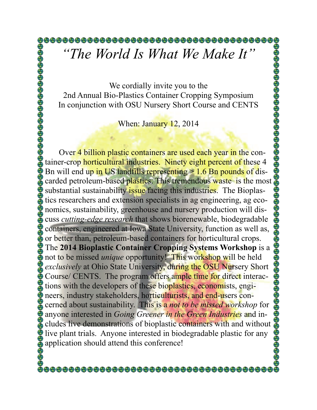## *"The World Is What We Make It"*

We cordially invite you to the 2nd Annual Bio-Plastics Container Cropping Symposium In conjunction with OSU Nursery Short Course and CENTS

When: January 12, 2014

Over 4 billion plastic containers are used each year in the container-crop horticultural industries. Ninety eight percent of these 4 Bn will end up in US landfills representing > 1.6 Bn pounds of discarded petroleum-based plastics. This tremendous waste is the most substantial sustainability issue facing this industries. The Bioplastics researchers and extension specialists in ag engineering, ag economics, sustainability, greenhouse and nursery production will discuss *cutting-edge research* that shows biorenewable, biodegradable containers, engineered at Iowa State University, function as well as, or better than, petroleum-based containers for horticultural crops. The **2014 Bioplastic Container Cropping Systems Workshop** is a not to be missed *unique* opportunity! This workshop will be held *exclusively* at Ohio State University, during the OSU Nursery Short Course/ CENTS. The program offers ample time for direct interactions with the developers of these bioplastics, economists, engineers, industry stakeholders, horticulturists, and end-users concerned about sustainability. This is a *not to be missed workshop* for anyone interested in *Going Greener in the Green Industries* and includes live demonstrations of bioplastic containers with and without live plant trials. Anyone interested in biodegradable plastic for any application should attend this conference!

@@@@@@@@@@@@@@@@@@@@@@@@@@@@@@@@@@@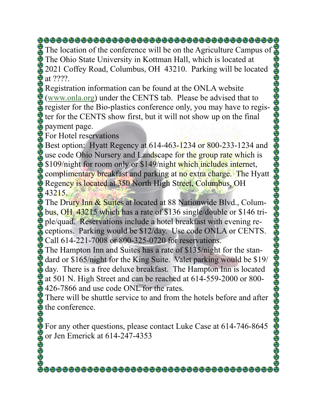The location of the conference will be on the Agriculture Campus of The Ohio State University in Kottman Hall, which is located at 2021 Coffey Road, Columbus, OH 43210. Parking will be located  $\bullet$  at ????.

Registration information can be found at the ONLA website [\(www.onla.org](http://www.onla.org)) under the CENTS tab. Please be advised that to register for the Bio-plastics conference only, you may have to register for the CENTS show first, but it will not show up on the final payment page.

For Hotel reservations

 $\bullet$  Best option: Hyatt Regency at 614-463-1234 or 800-233-1234 and use code Ohio Nursery and Landscape for the group rate which is  $\frac{1}{2}$  \$109/night for room only or \$149/night which includes internet, complimentary breakfast and parking at no extra charge. The Hyatt Regency is located at 350 North High Street, Columbus, OH \$43215.

The Drury Inn & Suites at located at 88 Nationwide Blvd., Columbus, OH 43215 which has a rate of \$136 single/double or \$146 triple/quad. Reservations include a hotel breakfast with evening receptions. Parking would be \$12/day. Use code ONLA or CENTS.  $\bigodot$  Call 614-221-7008 or 800-325-0720 for reservations.

The Hampton Inn and Suites has a rate of \$135/night for the standard or \$165/night for the King Suite. Valet parking would be \$19/ day. There is a free deluxe breakfast. The Hampton Inn is located at 501 N. High Street and can be reached at 614-559-2000 or 800- 426-7866 and use code ONL for the rates.

There will be shuttle service to and from the hotels before and after  $\ddot{\mathbf{\Theta}}$  the conference.

For any other questions, please contact Luke Case at 614-746-8645 or Jen Emerick at  $614-247-4353$ 

<del>@@@@@@@@@@@@@@@@@@@@@@@@@@</del>@@@@@@